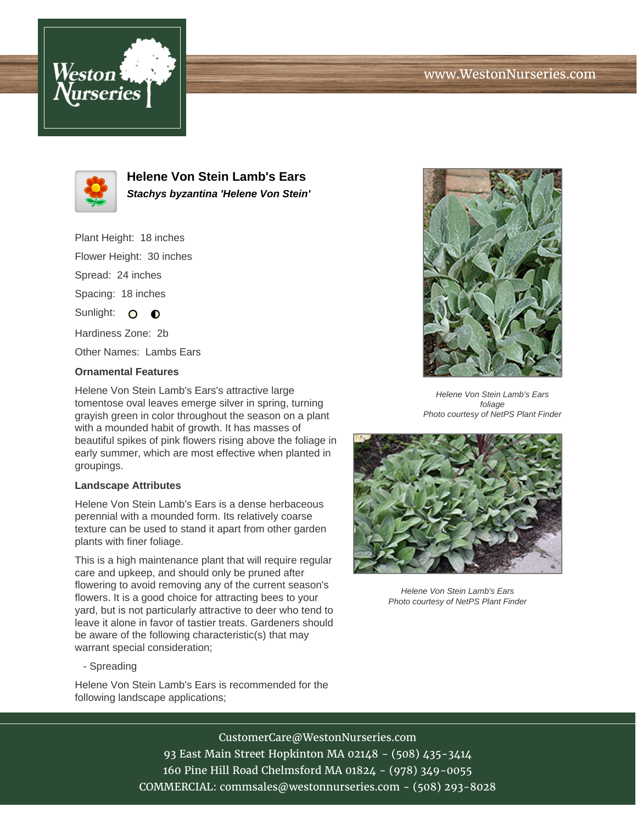## www.WestonNurseries.com





**Helene Von Stein Lamb's Ears Stachys byzantina 'Helene Von Stein'**

Plant Height: 18 inches

Flower Height: 30 inches

Spread: 24 inches

Spacing: 18 inches

Sunlight: O O

Hardiness Zone: 2b

Other Names: Lambs Ears

## **Ornamental Features**

Helene Von Stein Lamb's Ears's attractive large tomentose oval leaves emerge silver in spring, turning grayish green in color throughout the season on a plant with a mounded habit of growth. It has masses of beautiful spikes of pink flowers rising above the foliage in early summer, which are most effective when planted in groupings.

## **Landscape Attributes**

Helene Von Stein Lamb's Ears is a dense herbaceous perennial with a mounded form. Its relatively coarse texture can be used to stand it apart from other garden plants with finer foliage.

This is a high maintenance plant that will require regular care and upkeep, and should only be pruned after flowering to avoid removing any of the current season's flowers. It is a good choice for attracting bees to your yard, but is not particularly attractive to deer who tend to leave it alone in favor of tastier treats. Gardeners should be aware of the following characteristic(s) that may warrant special consideration;

- Spreading

Helene Von Stein Lamb's Ears is recommended for the following landscape applications;



Helene Von Stein Lamb's Ears foliage Photo courtesy of NetPS Plant Finder



Helene Von Stein Lamb's Ears Photo courtesy of NetPS Plant Finder

CustomerCare@WestonNurseries.com 93 East Main Street Hopkinton MA 02148 - (508) 435-3414 160 Pine Hill Road Chelmsford MA 01824 - (978) 349-0055 COMMERCIAL: commsales@westonnurseries.com - (508) 293-8028